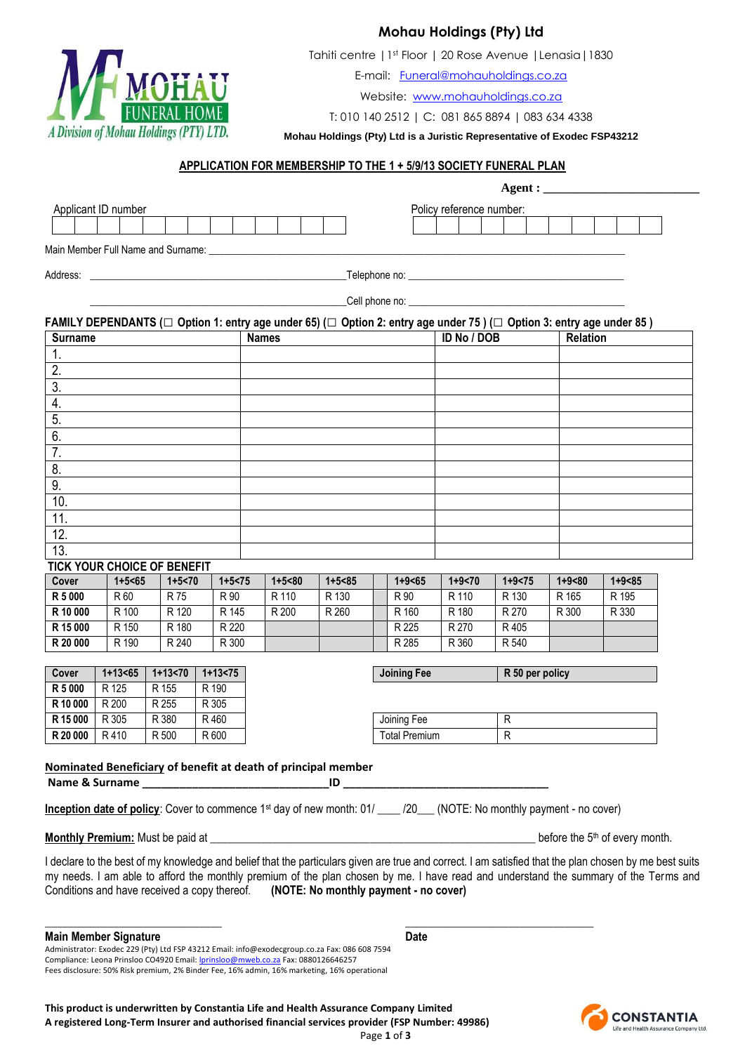

Tahiti centre | 1st Floor | 20 Rose Avenue | Lenasia | 1830

E-mail: [Funeral@mohauholdings.co.za](mailto:Funeral@mohauholdings.co.za)

Website: [www.mohauholdings.co.za](http://www.mohauholdings.co.za/)

T: 010 140 2512 | C: 081 865 8894 | 083 634 4338

**Mohau Holdings (Pty) Ltd is a Juristic Representative of Exodec FSP43212**

## **APPLICATION FOR MEMBERSHIP TO THE 1 + 5/9/13 SOCIETY FUNERAL PLAN**

|                                                                                   | Applicant ID number                |                |                                                               |                   |                   |                                                                                                                                        | Policy reference number: |                 |                 |                                                                                                                                                        |
|-----------------------------------------------------------------------------------|------------------------------------|----------------|---------------------------------------------------------------|-------------------|-------------------|----------------------------------------------------------------------------------------------------------------------------------------|--------------------------|-----------------|-----------------|--------------------------------------------------------------------------------------------------------------------------------------------------------|
|                                                                                   |                                    |                |                                                               |                   |                   |                                                                                                                                        |                          |                 |                 |                                                                                                                                                        |
|                                                                                   |                                    |                |                                                               |                   |                   |                                                                                                                                        |                          |                 |                 |                                                                                                                                                        |
|                                                                                   |                                    |                |                                                               |                   |                   |                                                                                                                                        |                          |                 |                 |                                                                                                                                                        |
|                                                                                   |                                    |                |                                                               |                   |                   |                                                                                                                                        |                          |                 |                 |                                                                                                                                                        |
|                                                                                   |                                    |                |                                                               |                   |                   |                                                                                                                                        |                          |                 |                 |                                                                                                                                                        |
|                                                                                   |                                    |                |                                                               |                   |                   |                                                                                                                                        |                          |                 |                 |                                                                                                                                                        |
|                                                                                   |                                    |                |                                                               | <b>Names</b>      |                   | FAMILY DEPENDANTS ( $\Box$ Option 1: entry age under 65) ( $\Box$ Option 2: entry age under 75) ( $\Box$ Option 3: entry age under 85) | ID No / DOB              |                 | <b>Relation</b> |                                                                                                                                                        |
| <b>Surname</b><br>1.                                                              |                                    |                |                                                               |                   |                   |                                                                                                                                        |                          |                 |                 |                                                                                                                                                        |
| 2.                                                                                |                                    |                |                                                               |                   |                   |                                                                                                                                        |                          |                 |                 |                                                                                                                                                        |
| 3.                                                                                |                                    |                |                                                               |                   |                   |                                                                                                                                        |                          |                 |                 |                                                                                                                                                        |
| 4.                                                                                |                                    |                |                                                               |                   |                   |                                                                                                                                        |                          |                 |                 |                                                                                                                                                        |
| 5.                                                                                |                                    |                |                                                               |                   |                   |                                                                                                                                        |                          |                 |                 |                                                                                                                                                        |
| 6.                                                                                |                                    |                |                                                               |                   |                   |                                                                                                                                        |                          |                 |                 |                                                                                                                                                        |
| 7.                                                                                |                                    |                |                                                               |                   |                   |                                                                                                                                        |                          |                 |                 |                                                                                                                                                        |
| 8.                                                                                |                                    |                |                                                               |                   |                   |                                                                                                                                        |                          |                 |                 |                                                                                                                                                        |
| 9.                                                                                |                                    |                |                                                               |                   |                   |                                                                                                                                        |                          |                 |                 |                                                                                                                                                        |
| 10.                                                                               |                                    |                |                                                               |                   |                   |                                                                                                                                        |                          |                 |                 |                                                                                                                                                        |
| 11.                                                                               |                                    |                |                                                               |                   |                   |                                                                                                                                        |                          |                 |                 |                                                                                                                                                        |
| 12.                                                                               |                                    |                |                                                               |                   |                   |                                                                                                                                        |                          |                 |                 |                                                                                                                                                        |
| 13.                                                                               |                                    |                |                                                               |                   |                   |                                                                                                                                        |                          |                 |                 |                                                                                                                                                        |
|                                                                                   | <b>TICK YOUR CHOICE OF BENEFIT</b> |                |                                                               |                   |                   |                                                                                                                                        |                          |                 |                 |                                                                                                                                                        |
| Cover<br>R 5 000                                                                  | $1+5<65$<br>R 60                   | $1+5<70$       | $1+5<75$                                                      | $1+5<80$<br>R 110 | $1+5<85$<br>R 130 | $1+9<65$                                                                                                                               | $1+9<70$<br>R 110        | $1+9<75$        | 1+9<80<br>R 165 | $1+9<85$                                                                                                                                               |
| R 10 000                                                                          | R 100                              | R 75<br>R 120  | R 90<br>R 145                                                 | R 200             | R 260             | R 90<br>R 160                                                                                                                          | R 180                    | R 130<br>R 270  | R 300           | R 195<br>R 330                                                                                                                                         |
|                                                                                   |                                    |                |                                                               |                   |                   | R 225                                                                                                                                  | R 270                    | R 405           |                 |                                                                                                                                                        |
|                                                                                   |                                    |                |                                                               |                   |                   |                                                                                                                                        |                          |                 |                 |                                                                                                                                                        |
|                                                                                   | R 150<br>R 190                     | R 180<br>R 240 | R 220<br>R 300                                                |                   |                   | R 285                                                                                                                                  | R 360                    | R 540           |                 |                                                                                                                                                        |
|                                                                                   |                                    |                |                                                               |                   |                   |                                                                                                                                        |                          |                 |                 |                                                                                                                                                        |
|                                                                                   | $1+13<65$                          | $1+13<70$      | $1+13<75$                                                     |                   |                   | <b>Joining Fee</b>                                                                                                                     |                          | R 50 per policy |                 |                                                                                                                                                        |
|                                                                                   | R 125                              | R 155          | R 190                                                         |                   |                   |                                                                                                                                        |                          |                 |                 |                                                                                                                                                        |
|                                                                                   | R 200                              | R 255          | R 305                                                         |                   |                   |                                                                                                                                        |                          |                 |                 |                                                                                                                                                        |
|                                                                                   | R 305                              | R 380          | R 460                                                         |                   |                   | Joining Fee                                                                                                                            |                          | R               |                 |                                                                                                                                                        |
|                                                                                   |                                    | R 500          | R 600                                                         |                   |                   | <b>Total Premium</b>                                                                                                                   | $\frac{1}{\sqrt{R}}$     |                 |                 |                                                                                                                                                        |
|                                                                                   |                                    |                |                                                               |                   |                   |                                                                                                                                        |                          |                 |                 |                                                                                                                                                        |
|                                                                                   |                                    |                | Nominated Beneficiary of benefit at death of principal member |                   |                   |                                                                                                                                        |                          |                 |                 |                                                                                                                                                        |
|                                                                                   |                                    |                |                                                               |                   |                   |                                                                                                                                        |                          |                 |                 |                                                                                                                                                        |
|                                                                                   |                                    |                |                                                               |                   |                   | Inception date of policy: Cover to commence 1 <sup>st</sup> day of new month: 01/ ____ /20___ (NOTE: No monthly payment - no cover)    |                          |                 |                 |                                                                                                                                                        |
|                                                                                   |                                    |                |                                                               |                   |                   |                                                                                                                                        |                          |                 |                 |                                                                                                                                                        |
|                                                                                   |                                    |                |                                                               |                   |                   |                                                                                                                                        |                          |                 |                 |                                                                                                                                                        |
| R 15 000<br>R 20 000<br>Cover<br>R 5 000<br>R 10 000<br>R 15000<br>R 20 000 R 410 |                                    |                |                                                               |                   |                   |                                                                                                                                        |                          |                 |                 | I declare to the best of my knowledge and belief that the particulars given are true and correct. I am satisfied that the plan chosen by me best suits |
|                                                                                   |                                    |                |                                                               |                   |                   |                                                                                                                                        |                          |                 |                 | my needs. I am able to afford the monthly premium of the plan chosen by me. I have read and understand the summary of the Terms and                    |
|                                                                                   |                                    |                |                                                               |                   |                   | Conditions and have received a copy thereof. (NOTE: No monthly payment - no cover)                                                     |                          |                 |                 |                                                                                                                                                        |
|                                                                                   |                                    |                |                                                               |                   |                   |                                                                                                                                        |                          |                 |                 |                                                                                                                                                        |
|                                                                                   | <b>Main Member Signature</b>       |                |                                                               |                   |                   | Date                                                                                                                                   |                          |                 |                 |                                                                                                                                                        |



**This product is underwritten by Constantia Life and Health Assurance Company Limited A registered Long-Term Insurer and authorised financial services provider (FSP Number: 49986)**





Compliance: Leona Prinsloo CO4920 Email: *lprinsloo@mweb.co.za* Fax: 0880126646257 Fees disclosure: 50% Risk premium, 2% Binder Fee, 16% admin, 16% marketing, 16% operational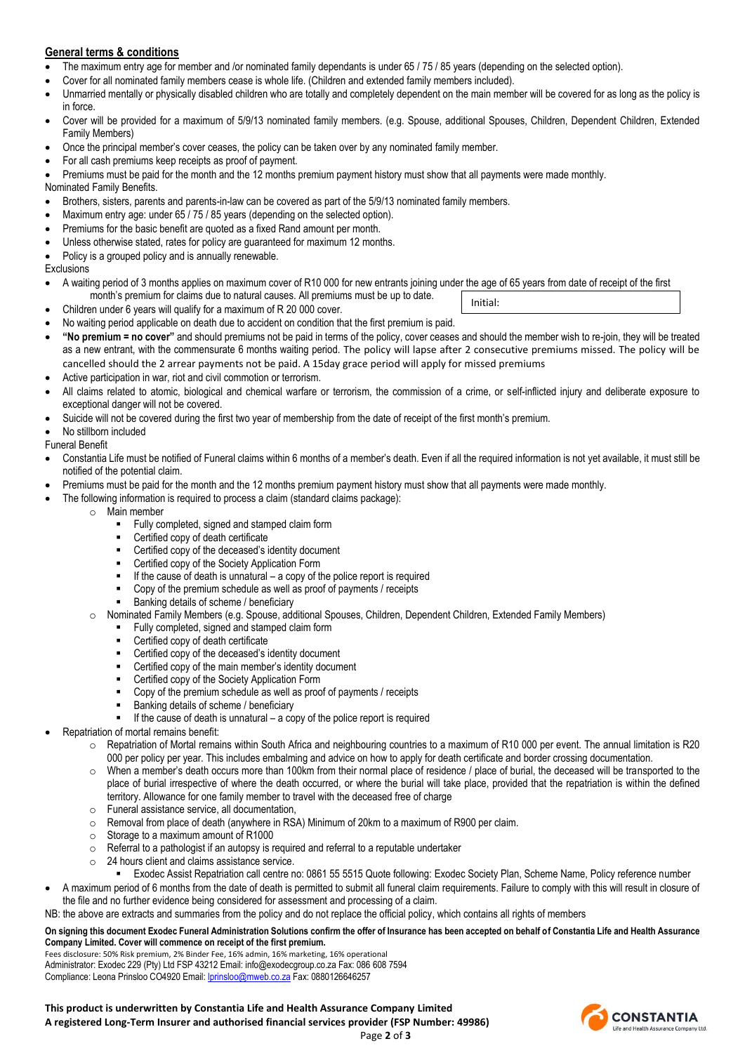# **General terms & conditions**

- The maximum entry age for member and /or nominated family dependants is under 65 / 75 / 85 years (depending on the selected option).
- Cover for all nominated family members cease is whole life. (Children and extended family members included).
- Unmarried mentally or physically disabled children who are totally and completely dependent on the main member will be covered for as long as the policy is in force.
- Cover will be provided for a maximum of 5/9/13 nominated family members. (e.g. Spouse, additional Spouses, Children, Dependent Children, Extended Family Members)
- Once the principal member's cover ceases, the policy can be taken over by any nominated family member.
- For all cash premiums keep receipts as proof of payment.
- Premiums must be paid for the month and the 12 months premium payment history must show that all payments were made monthly.

Nominated Family Benefits.

- Brothers, sisters, parents and parents-in-law can be covered as part of the 5/9/13 nominated family members.
- Maximum entry age: under 65 / 75 / 85 years (depending on the selected option).
- Premiums for the basic benefit are quoted as a fixed Rand amount per month.
- Unless otherwise stated, rates for policy are guaranteed for maximum 12 months.
- Policy is a grouped policy and is annually renewable.

### **Exclusions**

- A waiting period of 3 months applies on maximum cover of R10 000 for new entrants joining under the age of 65 years from date of receipt of the first month's premium for claims due to natural causes. All premiums must be up to date. Initial:
- Children under 6 years will qualify for a maximum of R 20 000 cover.
- No waiting period applicable on death due to accident on condition that the first premium is paid.
- **"No premium = no cover"** and should premiums not be paid in terms of the policy, cover ceases and should the member wish to re-join, they will be treated as a new entrant, with the commensurate 6 months waiting period. The policy will lapse after 2 consecutive premiums missed. The policy will be cancelled should the 2 arrear payments not be paid. A 15day grace period will apply for missed premiums
- Active participation in war, riot and civil commotion or terrorism.
- All claims related to atomic, biological and chemical warfare or terrorism, the commission of a crime, or self-inflicted injury and deliberate exposure to exceptional danger will not be covered.
- Suicide will not be covered during the first two year of membership from the date of receipt of the first month's premium.
- No stillborn included

Funeral Benefit

- Constantia Life must be notified of Funeral claims within 6 months of a member's death. Even if all the required information is not yet available, it must still be notified of the potential claim.
- Premiums must be paid for the month and the 12 months premium payment history must show that all payments were made monthly.
- The following information is required to process a claim (standard claims package):
	- Main member
		- Fully completed, signed and stamped claim form
		- Certified copy of death certificate
		- **EXEC** Certified copy of the deceased's identity document
		- Certified copy of the Society Application Form
		- If the cause of death is unnatural a copy of the police report is required
		- Copy of the premium schedule as well as proof of payments / receipts
		- Banking details of scheme / beneficiary
		- o Nominated Family Members (e.g. Spouse, additional Spouses, Children, Dependent Children, Extended Family Members)
			- Fully completed, signed and stamped claim form
			- Certified copy of death certificate
			- Certified copy of the deceased's identity document
			- Certified copy of the main member's identity document
			- Certified copy of the Society Application Form
			- Copy of the premium schedule as well as proof of payments / receipts
			- Banking details of scheme / beneficiary
			- If the cause of death is unnatural a copy of the police report is required
- Repatriation of mortal remains benefit:
	- o Repatriation of Mortal remains within South Africa and neighbouring countries to a maximum of R10 000 per event. The annual limitation is R20 000 per policy per year. This includes embalming and advice on how to apply for death certificate and border crossing documentation.
	- o When a member's death occurs more than 100km from their normal place of residence / place of burial, the deceased will be transported to the place of burial irrespective of where the death occurred, or where the burial will take place, provided that the repatriation is within the defined territory. Allowance for one family member to travel with the deceased free of charge
	- o Funeral assistance service, all documentation,
	- o Removal from place of death (anywhere in RSA) Minimum of 20km to a maximum of R900 per claim.
	- o Storage to a maximum amount of R1000
	- o Referral to a pathologist if an autopsy is required and referral to a reputable undertaker
	- 24 hours client and claims assistance service.
	- Exodec Assist Repatriation call centre no: 0861 55 5515 Quote following: Exodec Society Plan, Scheme Name, Policy reference number
- A maximum period of 6 months from the date of death is permitted to submit all funeral claim requirements. Failure to comply with this will result in closure of the file and no further evidence being considered for assessment and processing of a claim.
- NB: the above are extracts and summaries from the policy and do not replace the official policy, which contains all rights of members

### **On signing this document Exodec Funeral Administration Solutions confirm the offer of Insurance has been accepted on behalf of Constantia Life and Health Assurance Company Limited. Cover will commence on receipt of the first premium.**

Fees disclosure: 50% Risk premium, 2% Binder Fee, 16% admin, 16% marketing, 16% operational Administrator: Exodec 229 (Pty) Ltd FSP 43212 Email: info@exodecgroup.co.za Fax: 086 608 7594 Compliance: Leona Prinsloo CO4920 Email[: lprinsloo@mweb.co.za](mailto:lprinsloo@mweb.co.za) Fax: 0880126646257

**This product is underwritten by Constantia Life and Health Assurance Company Limited A registered Long-Term Insurer and authorised financial services provider (FSP Number: 49986)**